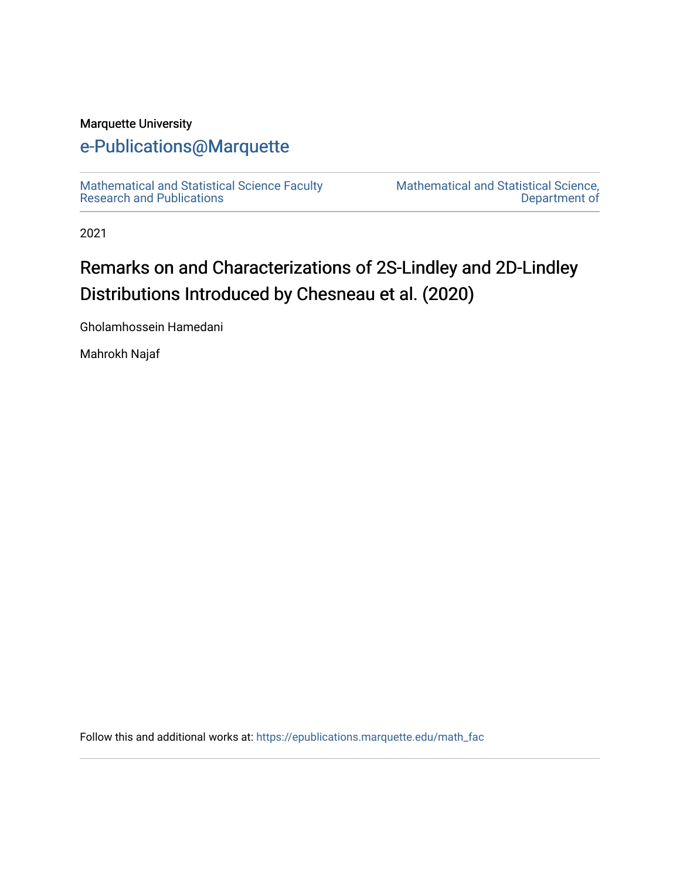## Marquette University

# [e-Publications@Marquette](https://epublications.marquette.edu/)

[Mathematical and Statistical Science Faculty](https://epublications.marquette.edu/math_fac)  [Research and Publications](https://epublications.marquette.edu/math_fac) 

[Mathematical and Statistical Science,](https://epublications.marquette.edu/math)  [Department of](https://epublications.marquette.edu/math) 

2021

# Remarks on and Characterizations of 2S-Lindley and 2D-Lindley Distributions Introduced by Chesneau et al. (2020)

Gholamhossein Hamedani

Mahrokh Najaf

Follow this and additional works at: [https://epublications.marquette.edu/math\\_fac](https://epublications.marquette.edu/math_fac?utm_source=epublications.marquette.edu%2Fmath_fac%2F85&utm_medium=PDF&utm_campaign=PDFCoverPages)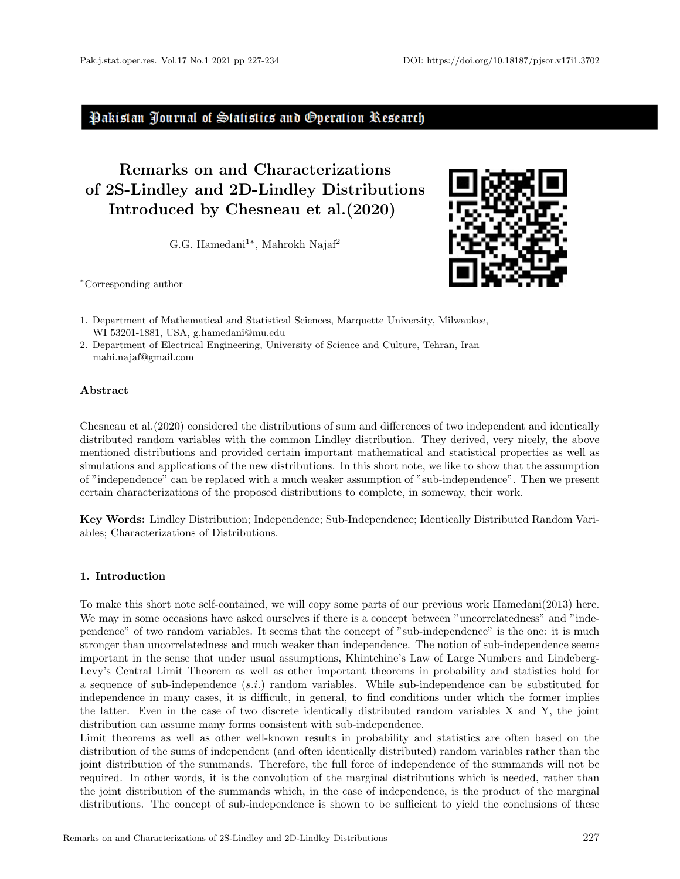### Pakistan Journal of Statistics and Operation Research

## Remarks on and Characterizations of 2S-Lindley and 2D-Lindley Distributions Introduced by [Chesneau et al.\(2020\)](#page-7-0)

G.G. Hamedani<sup>1\*</sup>, Mahrokh Najaf<sup>2</sup>

<sup>∗</sup>Corresponding author



- 1. Department of Mathematical and Statistical Sciences, Marquette University, Milwaukee, WI 53201-1881, USA, g.hamedani@mu.edu
- 2. Department of Electrical Engineering, University of Science and Culture, Tehran, Iran mahi.najaf@gmail.com

#### Abstract

[Chesneau et al.\(2020\)](#page-7-0) considered the distributions of sum and differences of two independent and identically distributed random variables with the common Lindley distribution. They derived, very nicely, the above mentioned distributions and provided certain important mathematical and statistical properties as well as simulations and applications of the new distributions. In this short note, we like to show that the assumption of "independence" can be replaced with a much weaker assumption of "sub-independence". Then we present certain characterizations of the proposed distributions to complete, in someway, their work.

Key Words: Lindley Distribution; Independence; Sub-Independence; Identically Distributed Random Variables; Characterizations of Distributions.

#### 1. Introduction

To make this short note self-contained, we will copy some parts of our previous work [Hamedani\(2013\)](#page-7-0) here. We may in some occasions have asked ourselves if there is a concept between "uncorrelatedness" and "independence" of two random variables. It seems that the concept of "sub-independence" is the one: it is much stronger than uncorrelatedness and much weaker than independence. The notion of sub-independence seems important in the sense that under usual assumptions, Khintchine's Law of Large Numbers and Lindeberg-Levy's Central Limit Theorem as well as other important theorems in probability and statistics hold for a sequence of sub-independence (s.i.) random variables. While sub-independence can be substituted for independence in many cases, it is difficult, in general, to find conditions under which the former implies the latter. Even in the case of two discrete identically distributed random variables X and Y, the joint distribution can assume many forms consistent with sub-independence.

Limit theorems as well as other well-known results in probability and statistics are often based on the distribution of the sums of independent (and often identically distributed) random variables rather than the joint distribution of the summands. Therefore, the full force of independence of the summands will not be required. In other words, it is the convolution of the marginal distributions which is needed, rather than the joint distribution of the summands which, in the case of independence, is the product of the marginal distributions. The concept of sub-independence is shown to be sufficient to yield the conclusions of these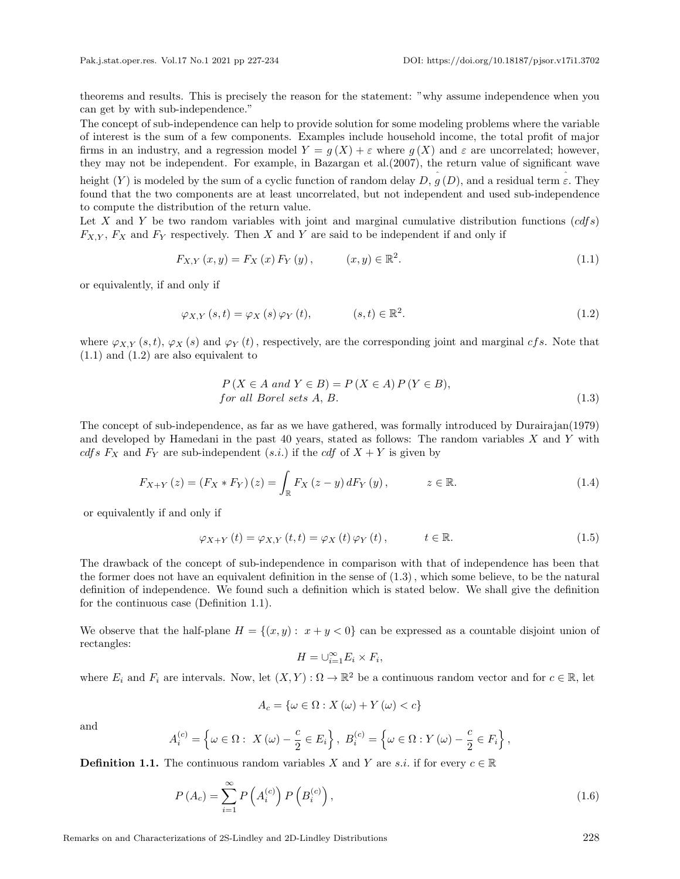theorems and results. This is precisely the reason for the statement: "why assume independence when you can get by with sub-independence."

The concept of sub-independence can help to provide solution for some modeling problems where the variable of interest is the sum of a few components. Examples include household income, the total profit of major firms in an industry, and a regression model  $Y = g(X) + \varepsilon$  where  $g(X)$  and  $\varepsilon$  are uncorrelated; however, they may not be independent. For example, in [Bazargan et al.\(2007\)](#page-7-0), the return value of significant wave height  $(Y)$  is modeled by the sum of a cyclic function of random delay  $D, \hat{g}(D)$ , and a residual term  $\hat{\varepsilon}$ . They found that the two components are at least uncorrelated, but not independent and used sub-independence to compute the distribution of the return value.

Let X and Y be two random variables with joint and marginal cumulative distribution functions  $(cdfs)$  $F_{X,Y}$ ,  $F_X$  and  $F_Y$  respectively. Then X and Y are said to be independent if and only if

$$
F_{X,Y}(x,y) = F_X(x) F_Y(y), \qquad (x,y) \in \mathbb{R}^2.
$$
 (1.1)

or equivalently, if and only if

$$
\varphi_{X,Y}(s,t) = \varphi_X(s)\,\varphi_Y(t), \qquad (s,t) \in \mathbb{R}^2. \tag{1.2}
$$

where  $\varphi_{X,Y}(s,t), \varphi_X(s)$  and  $\varphi_Y(t)$ , respectively, are the corresponding joint and marginal cfs. Note that (1.1) and (1.2) are also equivalent to

$$
P(X \in A \text{ and } Y \in B) = P(X \in A) P(Y \in B),
$$
  
for all Borel sets A, B. (1.3)

The concept of sub-independence, as far as we have gathered, was formally introduced by Durairajan(1979) and developed by Hamedani in the past  $40$  years, stated as follows: The random variables  $X$  and  $Y$  with cdfs  $F_X$  and  $F_Y$  are sub-independent  $(s.i.)$  if the cdf of  $X + Y$  is given by

$$
F_{X+Y}(z) = (F_X * F_Y)(z) = \int_{\mathbb{R}} F_X(z - y) dF_Y(y), \qquad z \in \mathbb{R}.
$$
 (1.4)

or equivalently if and only if

$$
\varphi_{X+Y}(t) = \varphi_{X,Y}(t,t) = \varphi_X(t)\varphi_Y(t), \qquad t \in \mathbb{R}.
$$
\n(1.5)

The drawback of the concept of sub-independence in comparison with that of independence has been that the former does not have an equivalent definition in the sense of (1.3), which some believe, to be the natural definition of independence. We found such a definition which is stated below. We shall give the definition for the continuous case (Definition 1.1).

We observe that the half-plane  $H = \{(x, y): x + y < 0\}$  can be expressed as a countable disjoint union of rectangles:

$$
H = \cup_{i=1}^{\infty} E_i \times F_i,
$$

where  $E_i$  and  $F_i$  are intervals. Now, let  $(X, Y)$ :  $\Omega \to \mathbb{R}^2$  be a continuous random vector and for  $c \in \mathbb{R}$ , let

$$
A_{c} = \{ \omega \in \Omega : X(\omega) + Y(\omega) < c \}
$$

and

$$
A_i^{(c)} = \left\{ \omega \in \Omega : X(\omega) - \frac{c}{2} \in E_i \right\}, B_i^{(c)} = \left\{ \omega \in \Omega : Y(\omega) - \frac{c}{2} \in F_i \right\},\
$$

**Definition 1.1.** The continuous random variables X and Y are s.i. if for every  $c \in \mathbb{R}$ 

$$
P(A_c) = \sum_{i=1}^{\infty} P\left(A_i^{(c)}\right) P\left(B_i^{(c)}\right),\tag{1.6}
$$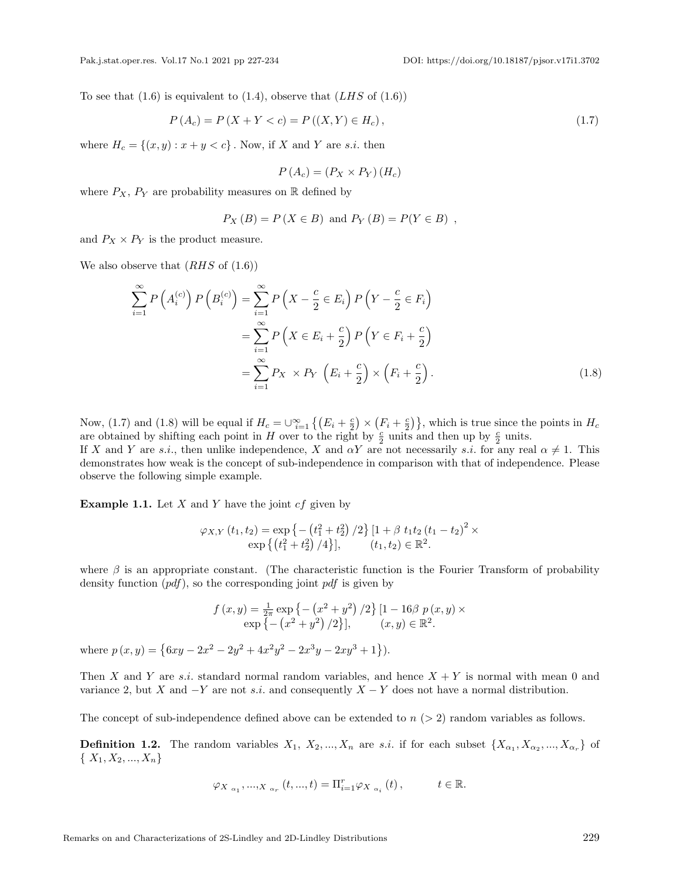To see that  $(1.6)$  is equivalent to  $(1.4)$ , observe that  $(LHS \text{ of } (1.6))$ 

$$
P(A_c) = P(X + Y < c) = P((X, Y) \in H_c),\tag{1.7}
$$

where  $H_c = \{(x, y) : x + y < c\}$ . Now, if X and Y are s.i. then

$$
P(A_c) = (P_X \times P_Y) (H_c)
$$

where  $P_X$ ,  $P_Y$  are probability measures on R defined by

$$
P_X(B) = P(X \in B) \text{ and } P_Y(B) = P(Y \in B) ,
$$

and  $P_X \times P_Y$  is the product measure.

We also observe that  $(RHS \text{ of } (1.6))$ 

$$
\sum_{i=1}^{\infty} P\left(A_i^{(c)}\right) P\left(B_i^{(c)}\right) = \sum_{i=1}^{\infty} P\left(X - \frac{c}{2} \in E_i\right) P\left(Y - \frac{c}{2} \in F_i\right)
$$

$$
= \sum_{i=1}^{\infty} P\left(X \in E_i + \frac{c}{2}\right) P\left(Y \in F_i + \frac{c}{2}\right)
$$

$$
= \sum_{i=1}^{\infty} P_X \times P_Y\left(E_i + \frac{c}{2}\right) \times \left(F_i + \frac{c}{2}\right).
$$
(1.8)

Now, (1.7) and (1.8) will be equal if  $H_c = \bigcup_{i=1}^{\infty} \left\{ \left( E_i + \frac{c}{2} \right) \times \left( F_i + \frac{c}{2} \right) \right\}$ , which is true since the points in  $H_c$ are obtained by shifting each point in H over to the right by  $\frac{c}{2}$  units and then up by  $\frac{c}{2}$  units.

If X and Y are s.i., then unlike independence, X and  $\alpha Y$  are not necessarily s.i. for any real  $\alpha \neq 1$ . This demonstrates how weak is the concept of sub-independence in comparison with that of independence. Please observe the following simple example.

**Example 1.1.** Let  $X$  and  $Y$  have the joint  $cf$  given by

$$
\varphi_{X,Y}(t_1, t_2) = \exp \left\{ - \left( t_1^2 + t_2^2 \right) / 2 \right\} \left[ 1 + \beta \ t_1 t_2 \left( t_1 - t_2 \right)^2 \times \exp \left\{ \left( t_1^2 + t_2^2 \right) / 4 \right\} \right], \qquad (t_1, t_2) \in \mathbb{R}^2.
$$

where  $\beta$  is an appropriate constant. (The characteristic function is the Fourier Transform of probability density function  $(pdf)$ , so the corresponding joint  $pdf$  is given by

$$
f(x,y) = \frac{1}{2\pi} \exp \{-\left(x^2 + y^2\right)/2\} [1 - 16\beta \ p(x,y) \times \exp \{-\left(x^2 + y^2\right)/2\}], \qquad (x,y) \in \mathbb{R}^2.
$$

where  $p(x, y) = \{6xy - 2x^2 - 2y^2 + 4x^2y^2 - 2x^3y - 2xy^3 + 1\}.$ 

Then X and Y are s.i. standard normal random variables, and hence  $X + Y$  is normal with mean 0 and variance 2, but X and  $-Y$  are not s.i. and consequently  $X - Y$  does not have a normal distribution.

The concept of sub-independence defined above can be extended to  $n (> 2)$  random variables as follows.

**Definition 1.2.** The random variables  $X_1, X_2, ..., X_n$  are s.i. if for each subset  $\{X_{\alpha_1}, X_{\alpha_2}, ..., X_{\alpha_r}\}$  of  $\{X_1, X_2, ..., X_n\}$ 

$$
\varphi_{X_{\alpha_1}},..._{X_{\alpha_r}}(t,...,t)=\Pi_{i=1}^r\varphi_{X_{\alpha_i}}(t),\qquad t\in\mathbb{R}.
$$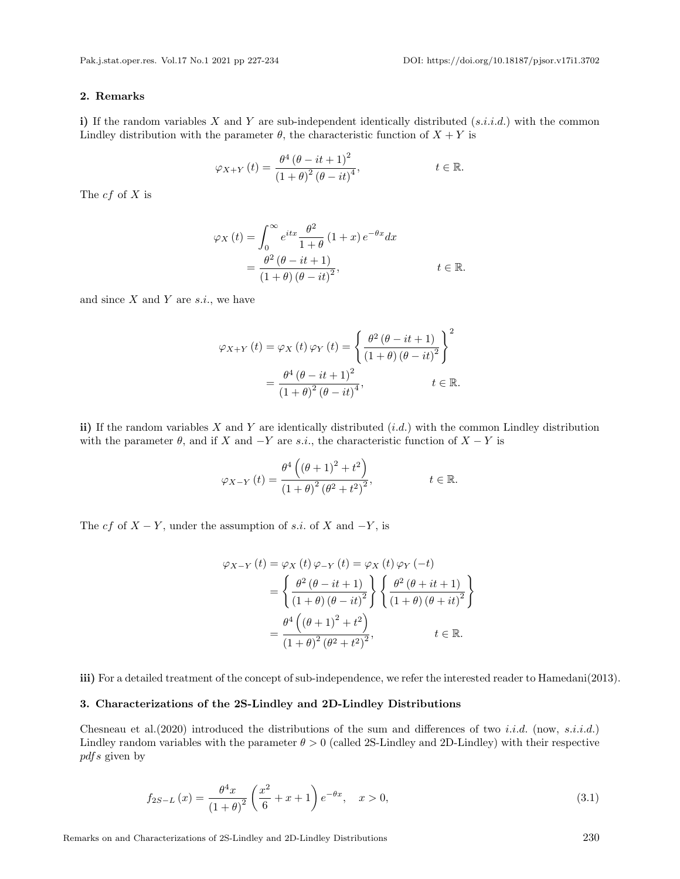#### 2. Remarks

i) If the random variables X and Y are sub-independent identically distributed  $(s.i.i.d.)$  with the common Lindley distribution with the parameter  $\theta$ , the characteristic function of  $X + Y$  is

$$
\varphi_{X+Y}(t) = \frac{\theta^4 (\theta - it + 1)^2}{(1+\theta)^2 (\theta - it)^4}, \qquad t \in \mathbb{R}.
$$

The  $cf$  of  $X$  is

$$
\varphi_X(t) = \int_0^\infty e^{itx} \frac{\theta^2}{1+\theta} (1+x) e^{-\theta x} dx
$$
  
= 
$$
\frac{\theta^2 (\theta - it + 1)}{(1+\theta) (\theta - it)^2}, \qquad t \in \mathbb{R}.
$$

and since  $X$  and  $Y$  are  $s.i.,$  we have

$$
\varphi_{X+Y}(t) = \varphi_X(t)\varphi_Y(t) = \left\{ \frac{\theta^2(\theta - it + 1)}{(1+\theta)(\theta - it)^2} \right\}^2
$$

$$
= \frac{\theta^4(\theta - it + 1)^2}{(1+\theta)^2(\theta - it)^4}, \qquad t \in \mathbb{R}.
$$

ii) If the random variables X and Y are identically distributed  $(i.d.)$  with the common Lindley distribution with the parameter  $\theta$ , and if X and  $-Y$  are s.i., the characteristic function of  $X - Y$  is

$$
\varphi_{X-Y}(t) = \frac{\theta^4 \left( (\theta + 1)^2 + t^2 \right)}{\left( 1 + \theta \right)^2 \left( \theta^2 + t^2 \right)^2}, \qquad t \in \mathbb{R}.
$$

The cf of  $X - Y$ , under the assumption of s.i. of X and  $-Y$ , is

$$
\varphi_{X-Y}(t) = \varphi_X(t)\varphi_{-Y}(t) = \varphi_X(t)\varphi_Y(-t)
$$
  
=  $\left\{\frac{\theta^2(\theta - it + 1)}{(1 + \theta)(\theta - it)^2}\right\} \left\{ \frac{\theta^2(\theta + it + 1)}{(1 + \theta)(\theta + it)^2} \right\}$   
=  $\frac{\theta^4((\theta + 1)^2 + t^2)}{(1 + \theta)^2(\theta^2 + t^2)^2}$ ,  $t \in \mathbb{R}$ .

iii) For a detailed treatment of the concept of sub-independence, we refer the interested reader to [Hamedani\(2013\)](#page-7-0).

#### 3. Characterizations of the 2S-Lindley and 2D-Lindley Distributions

Chesneau et al. (2020) introduced the distributions of the sum and differences of two *i.i.d.* (now, *s.i.i.d.*) Lindley random variables with the parameter  $\theta > 0$  (called 2S-Lindley and 2D-Lindley) with their respective pdfs given by

$$
f_{2S-L}(x) = \frac{\theta^4 x}{(1+\theta)^2} \left(\frac{x^2}{6} + x + 1\right) e^{-\theta x}, \quad x > 0,
$$
\n(3.1)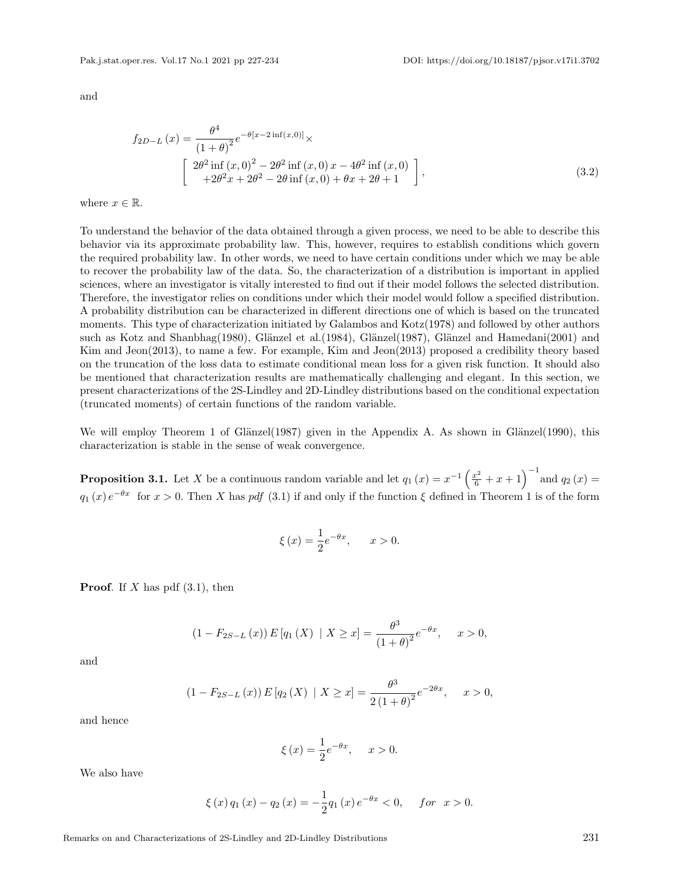$\Delta$ 4

and

$$
f_{2D-L}(x) = \frac{\theta^4}{(1+\theta)^2} e^{-\theta[x-2\inf(x,0)]} \times
$$
  
\n
$$
\begin{bmatrix}\n2\theta^2 \inf(x,0)^2 - 2\theta^2 \inf(x,0) x - 4\theta^2 \inf(x,0) \\
+2\theta^2 x + 2\theta^2 - 2\theta \inf(x,0) + \theta x + 2\theta + 1\n\end{bmatrix},
$$
\n(3.2)

where  $x \in \mathbb{R}$ .

To understand the behavior of the data obtained through a given process, we need to be able to describe this behavior via its approximate probability law. This, however, requires to establish conditions which govern the required probability law. In other words, we need to have certain conditions under which we may be able to recover the probability law of the data. So, the characterization of a distribution is important in applied sciences, where an investigator is vitally interested to find out if their model follows the selected distribution. Therefore, the investigator relies on conditions under which their model would follow a specified distribution. A probability distribution can be characterized in different directions one of which is based on the truncated moments. This type of characterization initiated by [Galambos and Kotz\(1978\)](#page-7-0) and followed by other authors such as [Kotz and Shanbhag\(1980\)](#page-7-0), Glänzel et al.(1984), Glänzel(1987), Glänzel and Hamedani(2001) and [Kim and Jeon\(2013\)](#page-7-0), to name a few. For example, [Kim and Jeon\(2013\)](#page-7-0) proposed a credibility theory based on the truncation of the loss data to estimate conditional mean loss for a given risk function. It should also be mentioned that characterization results are mathematically challenging and elegant. In this section, we present characterizations of the 2S-Lindley and 2D-Lindley distributions based on the conditional expectation (truncated moments) of certain functions of the random variable.

We will employ Theorem 1 of Glänzel(1987) given in the Appendix A. As shown in Glänzel(1990), this characterization is stable in the sense of weak convergence.

**Proposition 3.1.** Let X be a continuous random variable and let  $q_1(x) = x^{-1} \left( \frac{x^2}{6} + x + 1 \right)^{-1}$  and  $q_2(x) =$  $q_1(x) e^{-\theta x}$  for  $x > 0$ . Then X has pdf (3.1) if and only if the function  $\xi$  defined in Theorem 1 is of the form

$$
\xi(x) = \frac{1}{2}e^{-\theta x}, \qquad x > 0.
$$

**Proof.** If X has pdf  $(3.1)$ , then

$$
(1 - F_{2S-L}(x)) E [q_1(X) | X \ge x] = \frac{\theta^3}{(1 + \theta)^2} e^{-\theta x}, \quad x > 0,
$$

and

$$
(1 - F_{2S-L}(x)) E [q_2(X) | X \ge x] = \frac{\theta^3}{2(1+\theta)^2} e^{-2\theta x}, \quad x > 0,
$$

and hence

$$
\xi(x) = \frac{1}{2}e^{-\theta x}, \quad x > 0.
$$

We also have

$$
\xi(x) q_1(x) - q_2(x) = -\frac{1}{2} q_1(x) e^{-\theta x} < 0, \quad \text{for } x > 0.
$$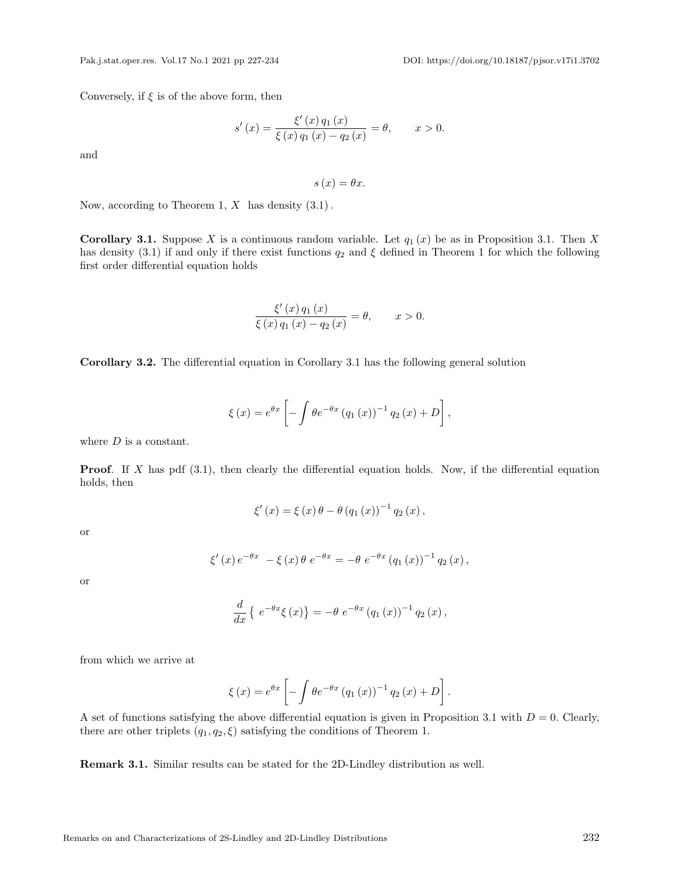Conversely, if  $\xi$  is of the above form, then

$$
s'(x) = \frac{\xi'(x) q_1(x)}{\xi(x) q_1(x) - q_2(x)} = \theta, \qquad x > 0.
$$

and

 $s(x) = \theta x.$ 

Now, according to Theorem 1,  $X$  has density  $(3.1)$ .

**Corollary 3.1.** Suppose X is a continuous random variable. Let  $q_1(x)$  be as in Proposition 3.1. Then X has density (3.1) if and only if there exist functions  $q_2$  and  $\xi$  defined in Theorem 1 for which the following first order differential equation holds

$$
\frac{\xi'(x) q_1(x)}{\xi(x) q_1(x) - q_2(x)} = \theta, \qquad x > 0.
$$

Corollary 3.2. The differential equation in Corollary 3.1 has the following general solution

$$
\xi(x) = e^{\theta x} \left[ -\int \theta e^{-\theta x} (q_1(x))^{-1} q_2(x) + D \right],
$$

where  $D$  is a constant.

**Proof.** If X has pdf  $(3.1)$ , then clearly the differential equation holds. Now, if the differential equation holds, then

$$
\xi'(x) = \xi(x)\,\theta - \theta (q_1(x))^{-1} q_2(x),
$$

or

$$
\xi'(x) e^{-\theta x} - \xi(x) \theta e^{-\theta x} = -\theta e^{-\theta x} (q_1(x))^{-1} q_2(x),
$$

or

$$
\frac{d}{dx}\left\{e^{-\theta x}\xi(x)\right\} = -\theta e^{-\theta x} (q_1(x))^{-1} q_2(x),
$$

from which we arrive at

$$
\xi(x) = e^{\theta x} \left[ -\int \theta e^{-\theta x} (q_1(x))^{-1} q_2(x) + D \right].
$$

A set of functions satisfying the above differential equation is given in Proposition 3.1 with  $D = 0$ . Clearly, there are other triplets  $(q_1, q_2, \xi)$  satisfying the conditions of Theorem 1.

Remark 3.1. Similar results can be stated for the 2D-Lindley distribution as well.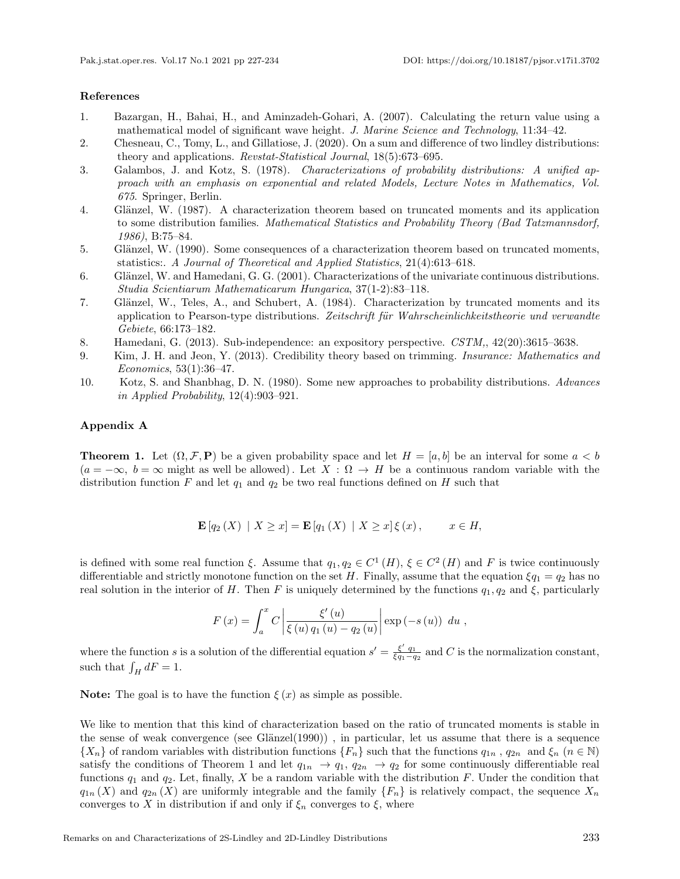#### <span id="page-7-0"></span>References

- 1. Bazargan, H., Bahai, H., and Aminzadeh-Gohari, A. (2007). Calculating the return value using a mathematical model of significant wave height. J. Marine Science and Technology, 11:34–42.
- 2. Chesneau, C., Tomy, L., and Gillatiose, J. (2020). On a sum and difference of two lindley distributions: theory and applications. Revstat-Statistical Journal, 18(5):673–695.
- 3. Galambos, J. and Kotz, S. (1978). Characterizations of probability distributions: A unified approach with an emphasis on exponential and related Models, Lecture Notes in Mathematics, Vol. 675. Springer, Berlin.
- 4. Glänzel, W. (1987). A characterization theorem based on truncated moments and its application to some distribution families. Mathematical Statistics and Probability Theory (Bad Tatzmannsdorf, 1986), B:75–84.
- 5. Glänzel, W. (1990). Some consequences of a characterization theorem based on truncated moments, statistics:. A Journal of Theoretical and Applied Statistics, 21(4):613–618.
- 6. Glänzel, W. and Hamedani, G. G. (2001). Characterizations of the univariate continuous distributions. Studia Scientiarum Mathematicarum Hungarica, 37(1-2):83–118.
- 7. Glänzel, W., Teles, A., and Schubert, A. (1984). Characterization by truncated moments and its application to Pearson-type distributions. Zeitschrift für Wahrscheinlichkeitstheorie und verwandte Gebiete, 66:173–182.
- 8. Hamedani, G. (2013). Sub-independence: an expository perspective. CSTM,, 42(20):3615–3638.
- 9. Kim, J. H. and Jeon, Y. (2013). Credibility theory based on trimming. Insurance: Mathematics and Economics, 53(1):36–47.
- 10. Kotz, S. and Shanbhag, D. N. (1980). Some new approaches to probability distributions. Advances in Applied Probability, 12(4):903–921.

#### Appendix A

**Theorem 1.** Let  $(\Omega, \mathcal{F}, P)$  be a given probability space and let  $H = [a, b]$  be an interval for some  $a < b$  $(a = -\infty, b = \infty$  might as well be allowed). Let  $X : \Omega \to H$  be a continuous random variable with the distribution function F and let  $q_1$  and  $q_2$  be two real functions defined on H such that

$$
\mathbf{E}[q_2(X) | X \ge x] = \mathbf{E}[q_1(X) | X \ge x] \xi(x), \qquad x \in H,
$$

is defined with some real function  $\xi$ . Assume that  $q_1, q_2 \in C^1(H)$ ,  $\xi \in C^2(H)$  and F is twice continuously differentiable and strictly monotone function on the set H. Finally, assume that the equation  $\xi q_1 = q_2$  has no real solution in the interior of H. Then F is uniquely determined by the functions  $q_1, q_2$  and  $\xi$ , particularly

$$
F(x) = \int_{a}^{x} C \left| \frac{\xi'(u)}{\xi(u) q_1(u) - q_2(u)} \right| \exp(-s(u)) du,
$$

where the function s is a solution of the differential equation  $s' = \frac{\xi' q_1}{\xi q_1 - q_2}$  and C is the normalization constant, such that  $\int_H dF = 1$ .

**Note:** The goal is to have the function  $\xi(x)$  as simple as possible.

We like to mention that this kind of characterization based on the ratio of truncated moments is stable in the sense of weak convergence (see Glänzel $(1990)$ ), in particular, let us assume that there is a sequence  $\{X_n\}$  of random variables with distribution functions  $\{F_n\}$  such that the functions  $q_{1n}$ ,  $q_{2n}$  and  $\xi_n$   $(n \in \mathbb{N})$ satisfy the conditions of Theorem 1 and let  $q_{1n} \to q_1, q_{2n} \to q_2$  for some continuously differentiable real functions  $q_1$  and  $q_2$ . Let, finally, X be a random variable with the distribution F. Under the condition that  $q_{1n}(X)$  and  $q_{2n}(X)$  are uniformly integrable and the family  $\{F_n\}$  is relatively compact, the sequence  $X_n$ converges to X in distribution if and only if  $\xi_n$  converges to  $\xi$ , where